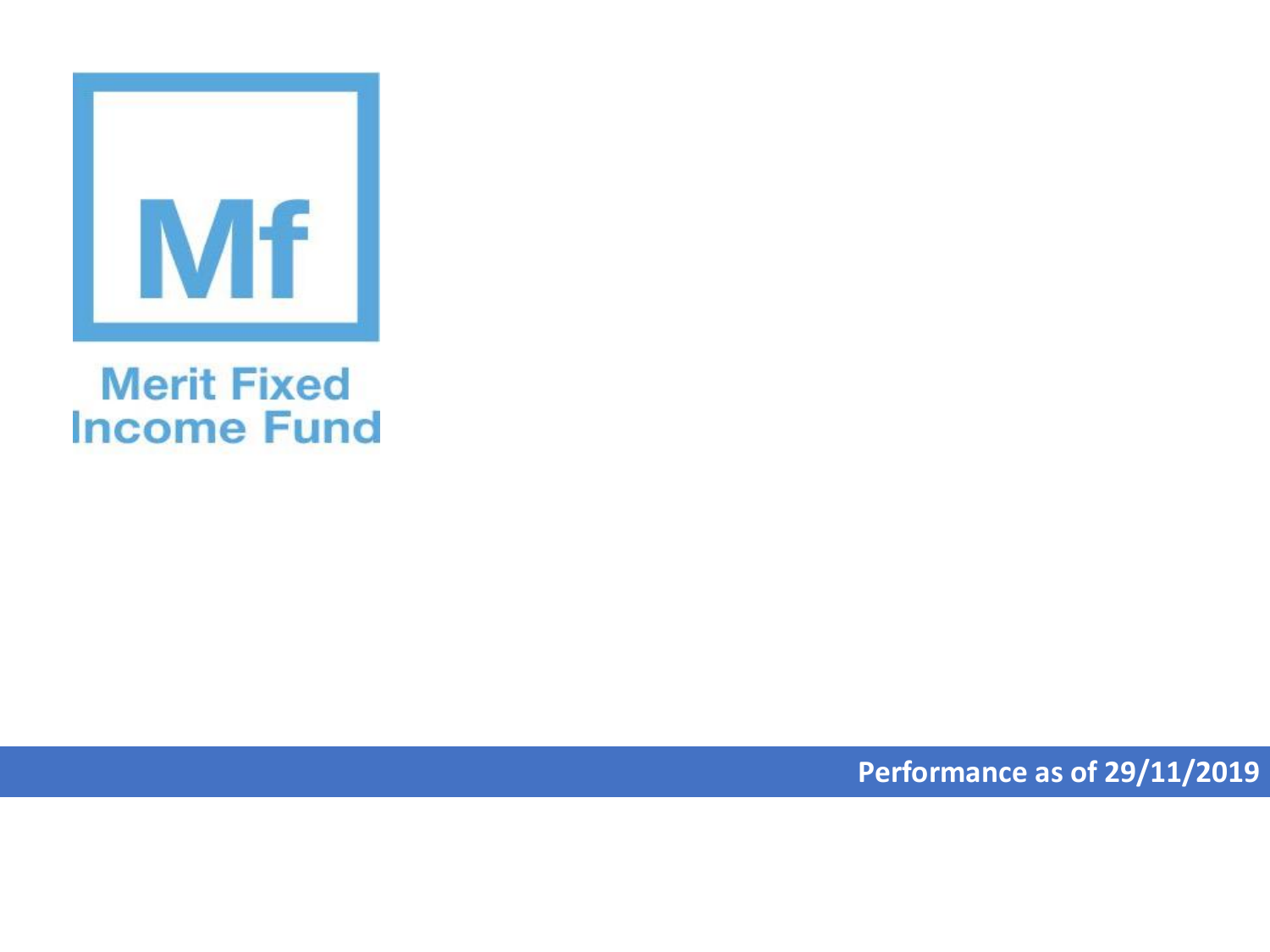

## **Merit Fixed Income Fund**

**Performance as of 29/11/2019**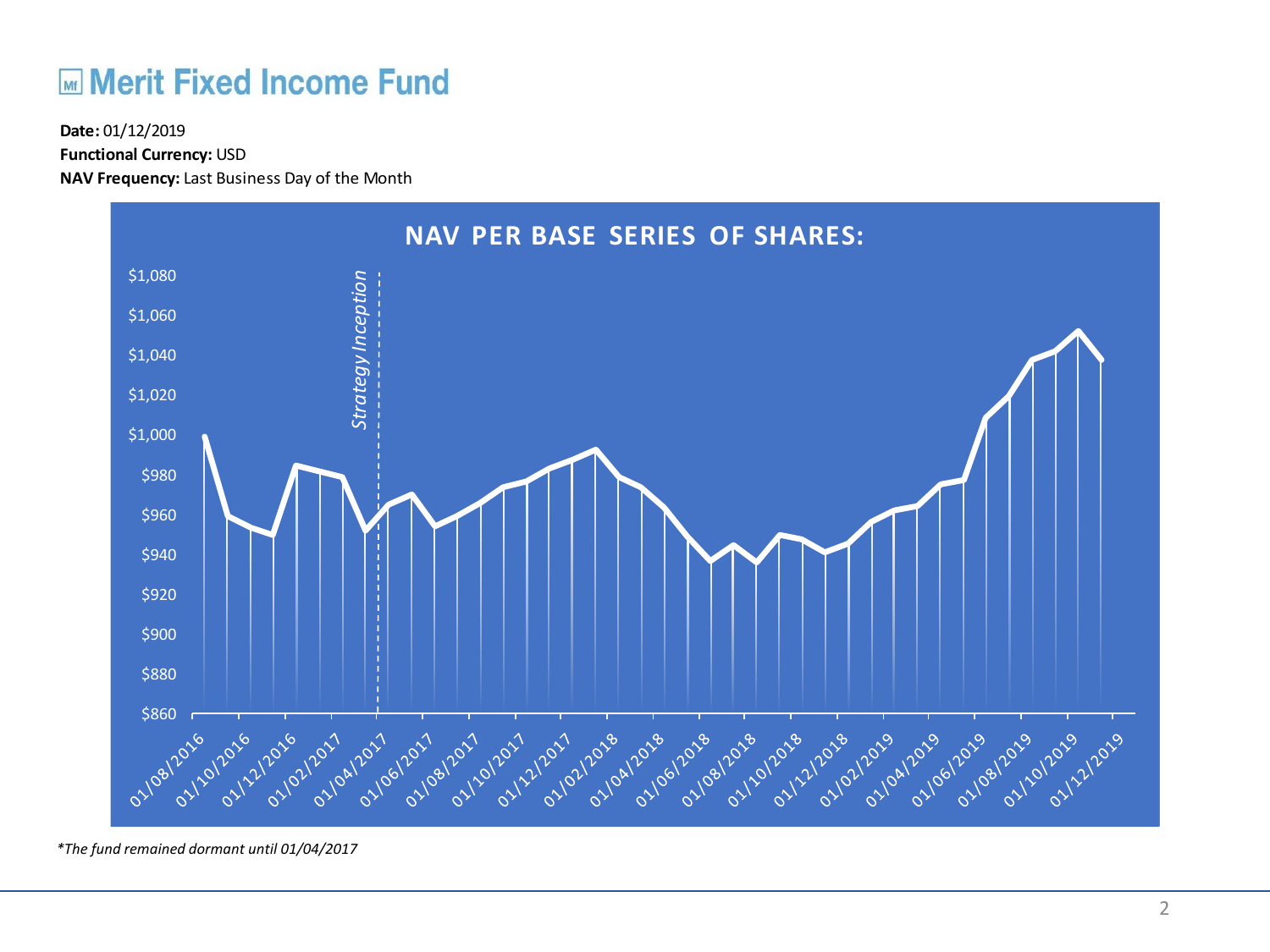## **ME Merit Fixed Income Fund**

**Functional Currency:** USD

**NAV Frequency:** Last Business Day of the Month